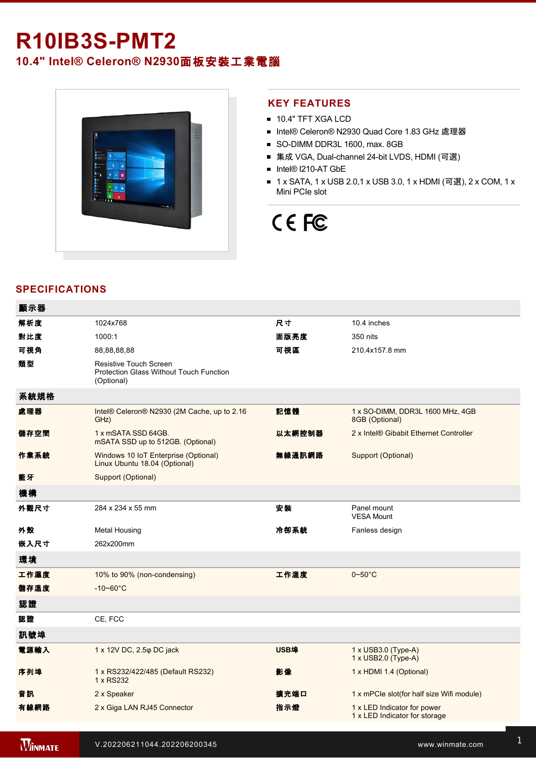# **R10IB3S-PMT2**

**10.4" Intel® Celeron® N2930**面板安裝工業電腦



## **KEY FEATURES**

- **10.4" TFT XGA LCD**
- Intel® Celeron® N2930 Quad Core 1.83 GHz 處理器
- SO-DIMM DDR3L 1600, max. 8GB
- 集成 VGA, Dual-channel 24-bit LVDS, HDMI (可選)
- Intel® I210-AT GbE
- 1 x SATA, 1 x USB 2.0,1 x USB 3.0, 1 x HDMI (可選), 2 x COM, 1 x Mini PCIe slot

# CE FC

# **SPECIFICATIONS**

| 顯示器  |                                                                                               |             |                                                              |
|------|-----------------------------------------------------------------------------------------------|-------------|--------------------------------------------------------------|
| 解析度  | 1024x768                                                                                      | 尺寸          | 10.4 inches                                                  |
| 對比度  | 1000:1                                                                                        | 面版亮度        | 350 nits                                                     |
| 可視角  | 88,88,88,88                                                                                   | 可視區         | 210.4x157.8 mm                                               |
| 類型   | <b>Resistive Touch Screen</b><br><b>Protection Glass Without Touch Function</b><br>(Optional) |             |                                                              |
| 系統規格 |                                                                                               |             |                                                              |
| 處理器  | Intel® Celeron® N2930 (2M Cache, up to 2.16<br>GHz)                                           | 記憶體         | 1 x SO-DIMM, DDR3L 1600 MHz, 4GB<br>8GB (Optional)           |
| 儲存空間 | 1 x mSATA SSD 64GB.<br>mSATA SSD up to 512GB. (Optional)                                      | 以太網控制器      | 2 x Intel® Gibabit Ethernet Controller                       |
| 作業系統 | Windows 10 IoT Enterprise (Optional)<br>Linux Ubuntu 18.04 (Optional)                         | 無線通訊網路      | Support (Optional)                                           |
| 藍牙   | <b>Support (Optional)</b>                                                                     |             |                                                              |
| 機構   |                                                                                               |             |                                                              |
| 外觀尺寸 | 284 x 234 x 55 mm                                                                             | 安装          | Panel mount<br><b>VESA Mount</b>                             |
| 外殼   | <b>Metal Housing</b>                                                                          | 冷卻系統        | Fanless design                                               |
| 嵌入尺寸 | 262x200mm                                                                                     |             |                                                              |
| 環境   |                                                                                               |             |                                                              |
| 工作濕度 | 10% to 90% (non-condensing)                                                                   | 工作溫度        | $0\nthicksim50^{\circ}$ C                                    |
| 儲存溫度 | $-10 - 60^{\circ}C$                                                                           |             |                                                              |
| 認證   |                                                                                               |             |                                                              |
| 認證   | CE, FCC                                                                                       |             |                                                              |
| 訊號埠  |                                                                                               |             |                                                              |
| 電源輸入 | 1 x 12V DC, 2.5 $\varphi$ DC jack                                                             | <b>USB埠</b> | 1 x USB3.0 (Type-A)<br>1 x USB2.0 (Type-A)                   |
| 序列埠  | 1 x RS232/422/485 (Default RS232)<br>1 x RS232                                                | 影像          | 1 x HDMI 1.4 (Optional)                                      |
| 音訊   | 2 x Speaker                                                                                   | 擴充端口        | 1 x mPCle slot(for half size Wifi module)                    |
| 有線網路 | 2 x Giga LAN RJ45 Connector                                                                   | 指示燈         | 1 x LED Indicator for power<br>1 x LED Indicator for storage |
|      |                                                                                               |             |                                                              |

**WINMATE**